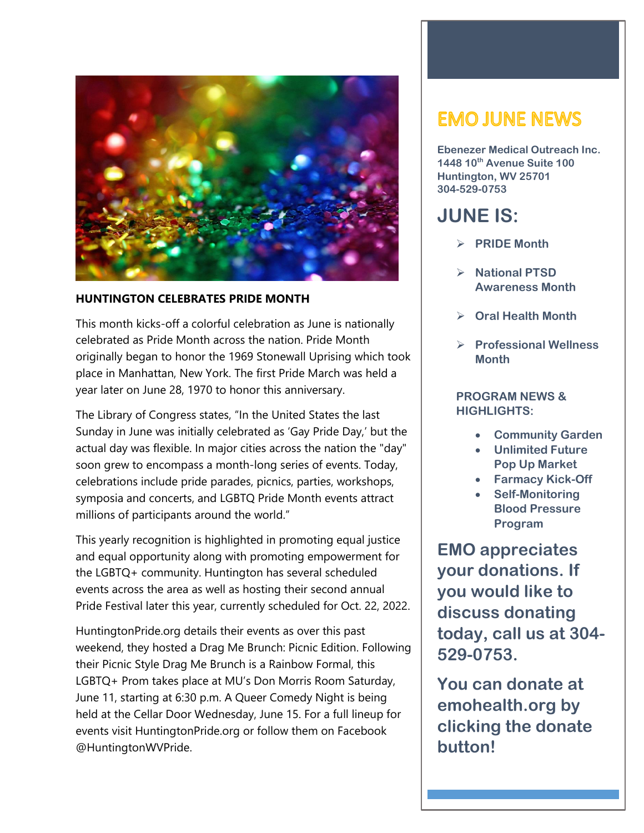

#### **HUNTINGTON CELEBRATES PRIDE MONTH**

This month kicks-off a colorful celebration as June is nationally celebrated as Pride Month across the nation. Pride Month originally began to honor the 1969 Stonewall Uprising which took place in Manhattan, New York. The first Pride March was held a year later on June 28, 1970 to honor this anniversary.

The Library of Congress states, "In the United States the last Sunday in June was initially celebrated as 'Gay Pride Day,' but the actual day was flexible. In major cities across the nation the "day" soon grew to encompass a month-long series of events. Today, celebrations include pride parades, picnics, parties, workshops, symposia and concerts, and LGBTQ Pride Month events attract millions of participants around the world."

This yearly recognition is highlighted in promoting equal justice and equal opportunity along with promoting empowerment for the LGBTQ+ community. Huntington has several scheduled events across the area as well as hosting their second annual Pride Festival later this year, currently scheduled for Oct. 22, 2022.

HuntingtonPride.org details their events as over this past weekend, they hosted a Drag Me Brunch: Picnic Edition. Following their Picnic Style Drag Me Brunch is a Rainbow Formal, this LGBTQ+ Prom takes place at MU's Don Morris Room Saturday, June 11, starting at 6:30 p.m. A Queer Comedy Night is being held at the Cellar Door Wednesday, June 15. For a full lineup for events visit HuntingtonPride.org or follow them on Facebook @HuntingtonWVPride.

# **EMO JUNE NEWS**

**Ebenezer Medical Outreach Inc. 1448 10th Avenue Suite 100 Huntington, WV 25701 304-529-0753**

# **JUNE IS:**

- **PRIDE Month**
- **National PTSD Awareness Month**
- **Oral Health Month**
- **Professional Wellness Month**

### **PROGRAM NEWS & HIGHLIGHTS:**

- **Community Garden**
- **Unlimited Future Pop Up Market**
- **Farmacy Kick-Off**
- **Self-Monitoring Blood Pressure Program**

**EMO appreciates your donations. If you would like to discuss donating today, call us at 304- 529-0753.**

**You can donate at emohealth.org by clicking the donate button!**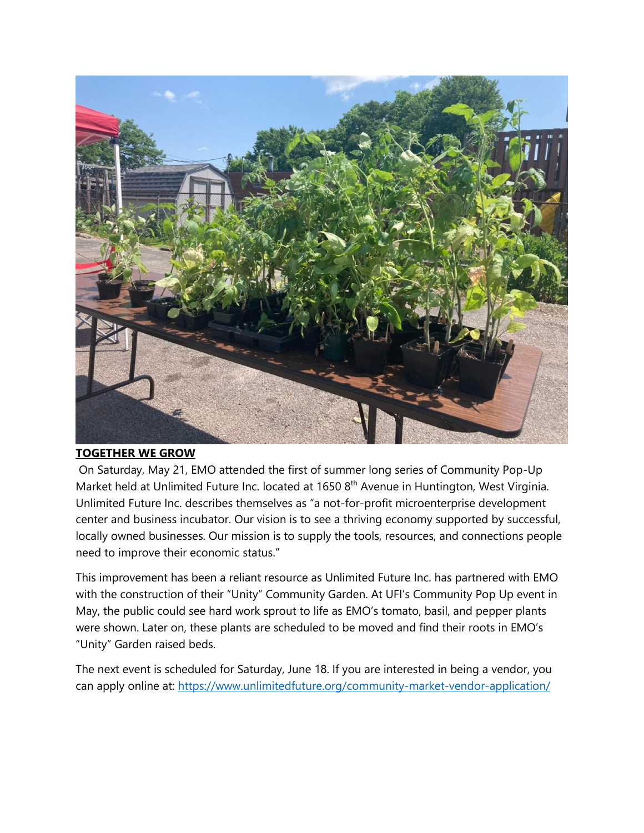

#### **TOGETHER WE GROW**

On Saturday, May 21, EMO attended the first of summer long series of Community Pop-Up Market held at Unlimited Future Inc. located at 1650 8<sup>th</sup> Avenue in Huntington, West Virginia. Unlimited Future Inc. describes themselves as "a not-for-profit microenterprise development center and business incubator. Our vision is to see a thriving economy supported by successful, locally owned businesses. Our mission is to supply the tools, resources, and connections people need to improve their economic status."

This improvement has been a reliant resource as Unlimited Future Inc. has partnered with EMO with the construction of their "Unity" Community Garden. At UFI's Community Pop Up event in May, the public could see hard work sprout to life as EMO's tomato, basil, and pepper plants were shown. Later on, these plants are scheduled to be moved and find their roots in EMO's "Unity" Garden raised beds.

The next event is scheduled for Saturday, June 18. If you are interested in being a vendor, you can apply online at:<https://www.unlimitedfuture.org/community-market-vendor-application/>